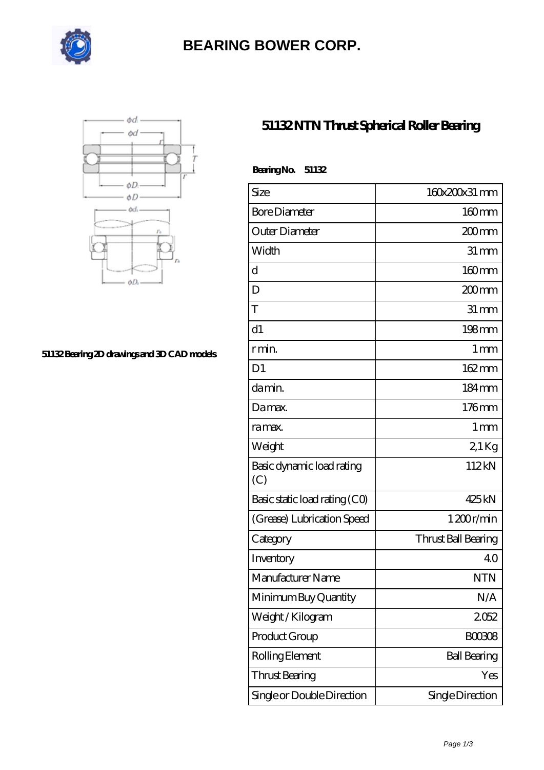

# **[BEARING BOWER CORP.](https://ballersunited.org)**



#### **[51132 Bearing 2D drawings and 3D CAD models](https://ballersunited.org/pic-1037176.html)**

### **[51132 NTN Thrust Spherical Roller Bearing](https://ballersunited.org/thrust-tapered-roller-bearing/51132.html)**

| <b>BearingNo.</b><br>51132       |                     |
|----------------------------------|---------------------|
| Size                             | 160x200x31 mm       |
| <b>Bore Diameter</b>             | 160mm               |
| Outer Diameter                   | 200mm               |
| Width                            | $31 \, \text{mm}$   |
| d                                | 160mm               |
| D                                | 200mm               |
| T                                | $31 \, \text{mm}$   |
| d1                               | 198mm               |
| r min.                           | $1 \,\mathrm{mm}$   |
| D <sub>1</sub>                   | 162mm               |
| da min.                          | 184mm               |
| Damax.                           | 176mm               |
| ra max.                          | $1 \,\mathrm{mm}$   |
| Weight                           | 21Kg                |
| Basic dynamic load rating<br>(C) | 112kN               |
| Basic static load rating (CO)    | 425kN               |
| (Grease) Lubrication Speed       | 1200r/min           |
| Category                         | Thrust Ball Bearing |
| Inventory                        | 40                  |
| Manufacturer Name                | <b>NTN</b>          |
| Minimum Buy Quantity             | N/A                 |
| Weight / Kilogram                | 2052                |
| Product Group                    | <b>BOO3O8</b>       |
| Rolling Element                  | <b>Ball Bearing</b> |
| Thrust Bearing                   | Yes                 |
| Single or Double Direction       | Single Direction    |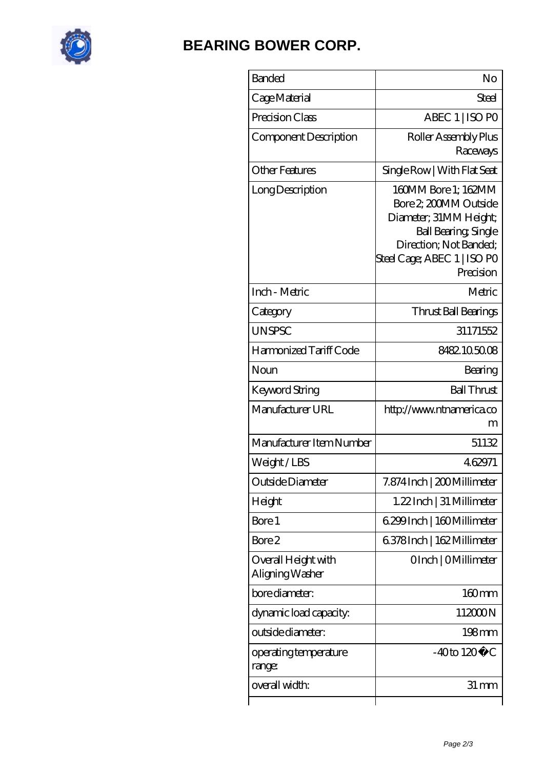

## **[BEARING BOWER CORP.](https://ballersunited.org)**

| <b>Banded</b>                          | No                                                                                                                                                                          |
|----------------------------------------|-----------------------------------------------------------------------------------------------------------------------------------------------------------------------------|
| Cage Material                          | Steel                                                                                                                                                                       |
| Precision Class                        | ABEC 1   ISO PO                                                                                                                                                             |
| Component Description                  | Roller Assembly Plus<br>Raceways                                                                                                                                            |
| <b>Other Features</b>                  | Single Row   With Flat Seat                                                                                                                                                 |
| Long Description                       | 160MM Bore 1; 162MM<br>Bore 2, 200MM Outside<br>Diameter; 31MM Height;<br><b>Ball Bearing, Single</b><br>Direction; Not Banded;<br>Steel Cage; ABEC 1   ISO PO<br>Precision |
| Inch - Metric                          | Metric                                                                                                                                                                      |
| Category                               | Thrust Ball Bearings                                                                                                                                                        |
| <b>UNSPSC</b>                          | 31171552                                                                                                                                                                    |
| Harmonized Tariff Code                 | 8482105008                                                                                                                                                                  |
| Noun                                   | Bearing                                                                                                                                                                     |
| Keyword String                         | <b>Ball Thrust</b>                                                                                                                                                          |
| Manufacturer URL                       | http://www.ntnamerica.co<br>m                                                                                                                                               |
| Manufacturer Item Number               | 51132                                                                                                                                                                       |
| Weight/LBS                             | 462971                                                                                                                                                                      |
| Outside Diameter                       | 7.874 Inch   200 Millimeter                                                                                                                                                 |
| Height                                 | 1.22 Inch   31 Millimeter                                                                                                                                                   |
| Bore 1                                 | 6.299 Inch   160 Millimeter                                                                                                                                                 |
| Bore 2                                 | 6.378Inch   162Millimeter                                                                                                                                                   |
| Overall Height with<br>Aligning Washer | OInch   OMillimeter                                                                                                                                                         |
| bore diameter:                         | 160mm                                                                                                                                                                       |
| dynamic load capacity:                 | 112000N                                                                                                                                                                     |
| outside diameter:                      | $198 \text{mm}$                                                                                                                                                             |
| operating temperature<br>range:        | $-40$ to $120^{\circ}$ C                                                                                                                                                    |
| overall width:                         | 31 mm                                                                                                                                                                       |
|                                        |                                                                                                                                                                             |